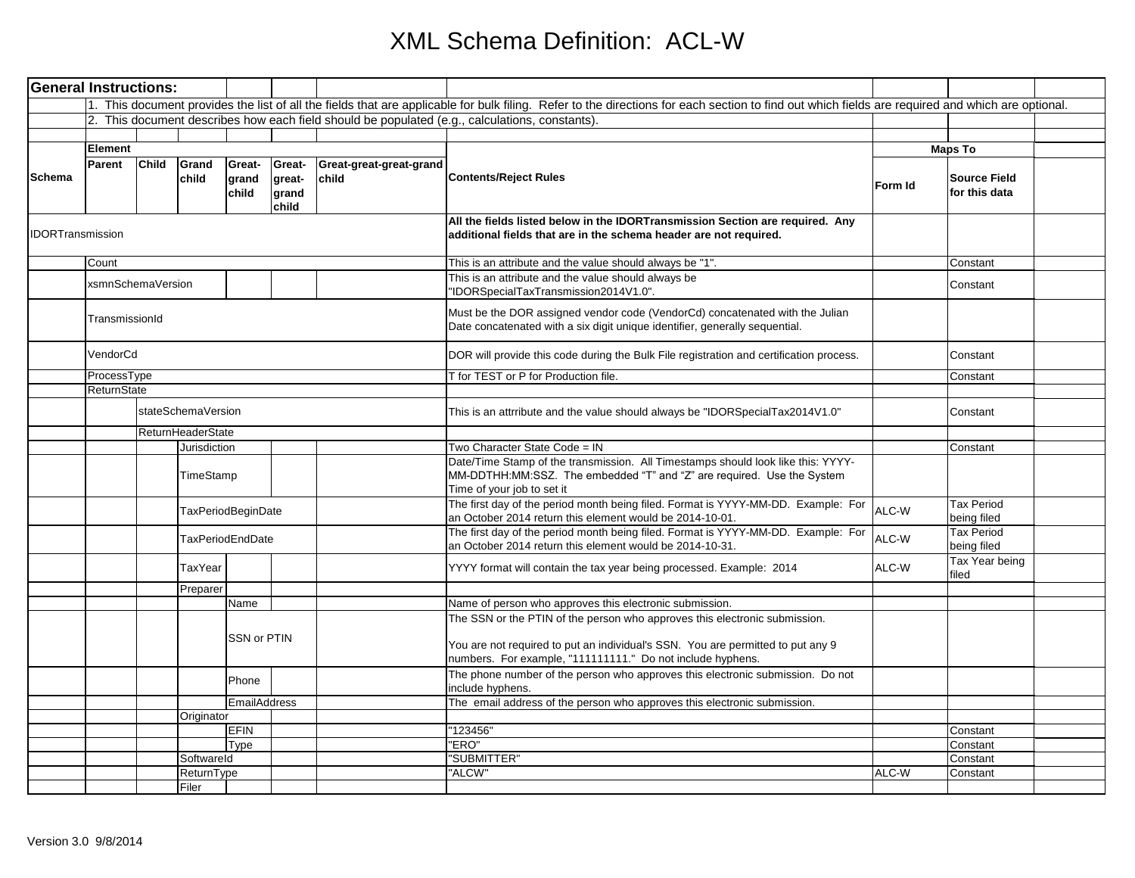| <b>General Instructions:</b> |                   |              |                    |                           |                                    |                                  |                                                                                                                                                                                                                             |         |                                      |  |
|------------------------------|-------------------|--------------|--------------------|---------------------------|------------------------------------|----------------------------------|-----------------------------------------------------------------------------------------------------------------------------------------------------------------------------------------------------------------------------|---------|--------------------------------------|--|
|                              |                   |              |                    |                           |                                    |                                  | 1. This document provides the list of all the fields that are applicable for bulk filing. Refer to the directions for each section to find out which fields are required and which are optional.                            |         |                                      |  |
|                              |                   |              |                    |                           |                                    |                                  | 2. This document describes how each field should be populated (e.g., calculations, constants).                                                                                                                              |         |                                      |  |
|                              |                   |              |                    |                           |                                    |                                  |                                                                                                                                                                                                                             |         |                                      |  |
|                              | Element           |              |                    |                           |                                    |                                  |                                                                                                                                                                                                                             |         | <b>Maps To</b>                       |  |
| Schema                       | Parent            | <b>Child</b> | Grand<br>child     | Great-<br>grand<br>child  | Great-<br>great-<br>grand<br>child | Great-great-great-grand<br>child | <b>Contents/Reject Rules</b>                                                                                                                                                                                                | Form Id | <b>Source Field</b><br>for this data |  |
| <b>DORTransmission</b>       |                   |              |                    |                           |                                    |                                  | All the fields listed below in the IDORTransmission Section are required. Any<br>additional fields that are in the schema header are not required.                                                                          |         |                                      |  |
|                              | Count             |              |                    |                           |                                    |                                  | This is an attribute and the value should always be "1".                                                                                                                                                                    |         | Constant                             |  |
|                              | xsmnSchemaVersion |              |                    |                           |                                    |                                  | This is an attribute and the value should always be<br>"IDORSpecialTaxTransmission2014V1.0".                                                                                                                                |         | Constant                             |  |
|                              | TransmissionId    |              |                    |                           |                                    |                                  | Must be the DOR assigned vendor code (VendorCd) concatenated with the Julian<br>Date concatenated with a six digit unique identifier, generally sequential.                                                                 |         |                                      |  |
|                              | VendorCd          |              |                    |                           |                                    |                                  | DOR will provide this code during the Bulk File registration and certification process.                                                                                                                                     |         | Constant                             |  |
|                              | ProcessType       |              |                    |                           |                                    |                                  | <b>Fight TEST or P for Production file.</b>                                                                                                                                                                                 |         | Constant                             |  |
|                              | ReturnState       |              |                    |                           |                                    |                                  |                                                                                                                                                                                                                             |         |                                      |  |
|                              |                   |              | stateSchemaVersion |                           |                                    |                                  | This is an attrribute and the value should always be "IDORSpecialTax2014V1.0"                                                                                                                                               |         | Constant                             |  |
|                              |                   |              | ReturnHeaderState  |                           |                                    |                                  |                                                                                                                                                                                                                             |         |                                      |  |
|                              |                   | Jurisdiction |                    |                           |                                    |                                  | Two Character State Code = IN                                                                                                                                                                                               |         | Constant                             |  |
|                              |                   |              | TimeStamp          |                           |                                    |                                  | Date/Time Stamp of the transmission. All Timestamps should look like this: YYYY-<br>MM-DDTHH:MM:SSZ. The embedded "T" and "Z" are required. Use the System<br>Time of your job to set it                                    |         |                                      |  |
|                              |                   |              |                    | <b>TaxPeriodBeginDate</b> |                                    |                                  | The first day of the period month being filed. Format is YYYY-MM-DD. Example: For<br>an October 2014 return this element would be 2014-10-01.                                                                               | ALC-W   | <b>Tax Period</b><br>being filed     |  |
|                              |                   |              |                    | <b>TaxPeriodEndDate</b>   |                                    |                                  | The first day of the period month being filed. Format is YYYY-MM-DD. Example: For<br>an October 2014 return this element would be 2014-10-31.                                                                               | ALC-W   | <b>Tax Period</b><br>being filed     |  |
|                              |                   |              | TaxYear            |                           |                                    |                                  | YYYY format will contain the tax year being processed. Example: 2014                                                                                                                                                        | ALC-W   | Tax Year being<br>filed              |  |
|                              |                   |              | Preparer           |                           |                                    |                                  |                                                                                                                                                                                                                             |         |                                      |  |
|                              |                   |              |                    | Name                      |                                    |                                  | Name of person who approves this electronic submission.                                                                                                                                                                     |         |                                      |  |
|                              |                   |              |                    | SSN or PTIN               |                                    |                                  | The SSN or the PTIN of the person who approves this electronic submission.<br>You are not required to put an individual's SSN. You are permitted to put any 9<br>numbers. For example, "111111111." Do not include hyphens. |         |                                      |  |
|                              |                   |              |                    | Phone                     |                                    |                                  | The phone number of the person who approves this electronic submission. Do not<br>include hyphens.                                                                                                                          |         |                                      |  |
|                              |                   |              |                    | <b>EmailAddress</b>       |                                    |                                  | The email address of the person who approves this electronic submission.                                                                                                                                                    |         |                                      |  |
|                              |                   |              | Originator         |                           |                                    |                                  |                                                                                                                                                                                                                             |         |                                      |  |
|                              |                   |              |                    | EFIN                      |                                    |                                  | "123456"                                                                                                                                                                                                                    |         | Constant                             |  |
|                              |                   |              |                    | Type                      |                                    |                                  | "ERO"                                                                                                                                                                                                                       |         | Constant                             |  |
|                              |                   |              | Softwareld         |                           |                                    |                                  | "SUBMITTER"                                                                                                                                                                                                                 |         | Constant                             |  |
|                              |                   |              | ReturnType         |                           |                                    |                                  | "ALCW"                                                                                                                                                                                                                      | ALC-W   | Constant                             |  |
|                              |                   |              | Filer              |                           |                                    |                                  |                                                                                                                                                                                                                             |         |                                      |  |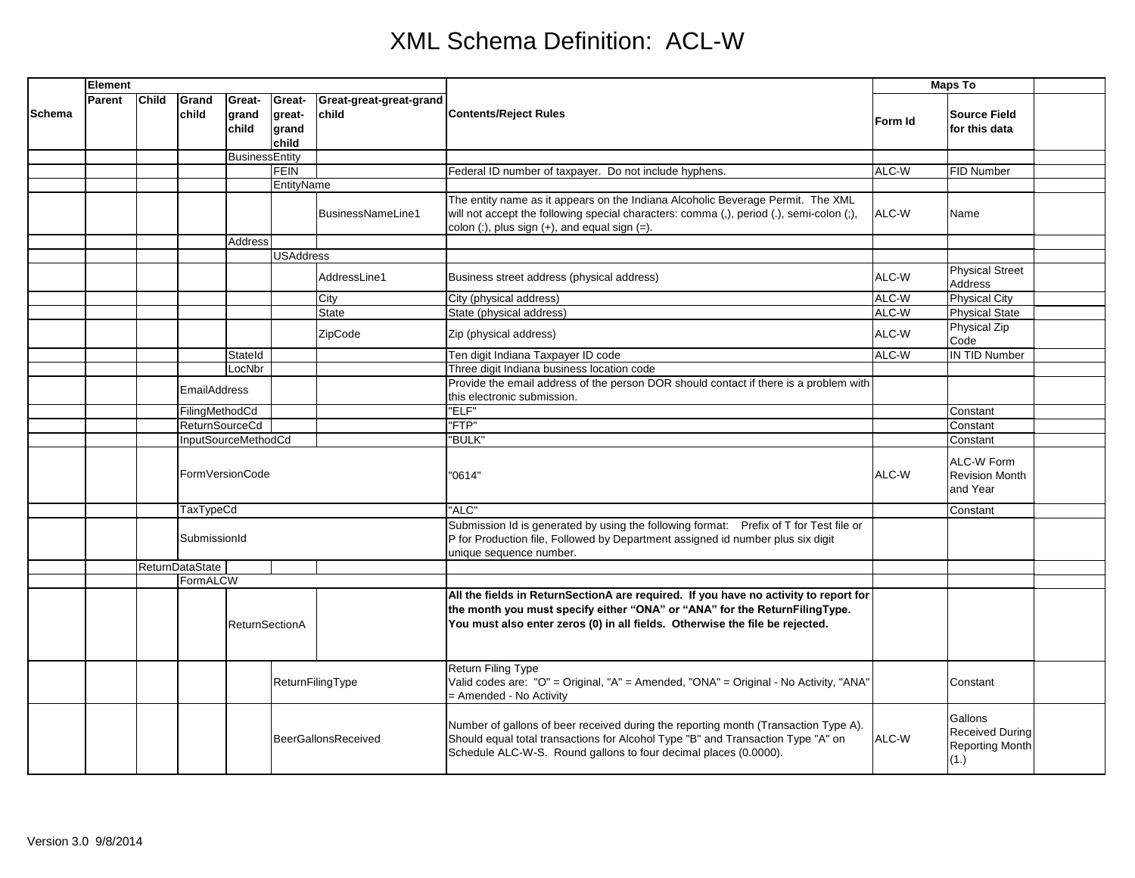|               | <b>Element</b> |              |                            |                          |                                    |                                  |                                                                                                                                                                                                                                                    | <b>Maps To</b> |                                                                     |  |
|---------------|----------------|--------------|----------------------------|--------------------------|------------------------------------|----------------------------------|----------------------------------------------------------------------------------------------------------------------------------------------------------------------------------------------------------------------------------------------------|----------------|---------------------------------------------------------------------|--|
| <b>Schema</b> | Parent         | <b>Child</b> | Grand<br>child             | Great-<br>grand<br>child | Great-<br>great-<br>grand<br>child | Great-great-great-grand<br>child | <b>Contents/Reject Rules</b>                                                                                                                                                                                                                       | Form Id        | <b>Source Field</b><br>for this data                                |  |
|               |                |              |                            | BusinessEntity           |                                    |                                  |                                                                                                                                                                                                                                                    |                |                                                                     |  |
|               |                |              |                            |                          | <b>FEIN</b>                        |                                  | Federal ID number of taxpayer. Do not include hyphens.                                                                                                                                                                                             | ALC-W          | <b>FID Number</b>                                                   |  |
|               |                |              |                            |                          | EntityName                         |                                  |                                                                                                                                                                                                                                                    |                |                                                                     |  |
|               |                |              |                            |                          |                                    | BusinessNameLine1                | The entity name as it appears on the Indiana Alcoholic Beverage Permit. The XML<br>will not accept the following special characters: comma (,), period (.), semi-colon (;),<br>colon $($ :), plus sign $(+)$ , and equal sign $(=)$ .              | ALC-W          | Name                                                                |  |
|               |                |              |                            | Address                  |                                    |                                  |                                                                                                                                                                                                                                                    |                |                                                                     |  |
|               |                |              |                            |                          | <b>USAddress</b>                   |                                  |                                                                                                                                                                                                                                                    |                |                                                                     |  |
|               |                |              |                            |                          |                                    | AddressLine1                     | Business street address (physical address)                                                                                                                                                                                                         | ALC-W          | <b>Physical Street</b><br><b>Address</b>                            |  |
|               |                |              |                            |                          |                                    | City                             | City (physical address)                                                                                                                                                                                                                            | ALC-W          | <b>Physical City</b>                                                |  |
|               |                |              |                            |                          |                                    | State                            | State (physical address)                                                                                                                                                                                                                           | ALC-W          | <b>Physical State</b>                                               |  |
|               |                |              |                            |                          |                                    | ZipCode                          | Zip (physical address)                                                                                                                                                                                                                             | ALC-W          | <b>Physical Zip</b><br>Code                                         |  |
|               |                |              |                            | Stateld                  |                                    |                                  | Ten digit Indiana Taxpayer ID code                                                                                                                                                                                                                 | ALC-W          | <b>IN TID Number</b>                                                |  |
|               |                |              |                            | LocNbr                   |                                    |                                  | Three digit Indiana business location code                                                                                                                                                                                                         |                |                                                                     |  |
|               |                |              | <b>EmailAddress</b>        |                          |                                    |                                  | Provide the email address of the person DOR should contact if there is a problem with<br>this electronic submission.                                                                                                                               |                |                                                                     |  |
|               |                |              | FilingMethodCd             |                          |                                    |                                  | "ELF"                                                                                                                                                                                                                                              |                | Constant                                                            |  |
|               |                |              | <b>ReturnSourceCd</b>      |                          |                                    |                                  | "FTP"                                                                                                                                                                                                                                              |                | Constant                                                            |  |
|               |                |              | InputSourceMethodCd        |                          |                                    |                                  | "BULK"                                                                                                                                                                                                                                             |                | Constant                                                            |  |
|               |                |              |                            | FormVersionCode          |                                    |                                  | "0614"                                                                                                                                                                                                                                             | ALC-W          | ALC-W Form<br><b>Revision Month</b><br>and Year                     |  |
|               |                |              | <b>TaxTypeCd</b>           |                          |                                    |                                  | "ALC"                                                                                                                                                                                                                                              |                | Constant                                                            |  |
|               |                |              | SubmissionId               |                          |                                    |                                  | Submission Id is generated by using the following format: Prefix of T for Test file or<br>P for Production file, Followed by Department assigned id number plus six digit<br>unique sequence number.                                               |                |                                                                     |  |
|               |                |              | <b>ReturnDataState</b>     |                          |                                    |                                  |                                                                                                                                                                                                                                                    |                |                                                                     |  |
|               |                |              | FormALCW                   |                          |                                    |                                  |                                                                                                                                                                                                                                                    |                |                                                                     |  |
|               |                |              |                            | <b>ReturnSectionA</b>    |                                    |                                  | All the fields in ReturnSectionA are required. If you have no activity to report for<br>the month you must specify either "ONA" or "ANA" for the ReturnFilingType.<br>You must also enter zeros (0) in all fields. Otherwise the file be rejected. |                |                                                                     |  |
|               |                |              | ReturnFilingType           |                          |                                    |                                  | <b>Return Filing Type</b><br>Valid codes are: "O" = Original, "A" = Amended, "ONA" = Original - No Activity, "ANA"<br>= Amended - No Activity                                                                                                      |                | Constant                                                            |  |
|               |                |              | <b>BeerGallonsReceived</b> |                          |                                    |                                  | Number of gallons of beer received during the reporting month (Transaction Type A).<br>Should equal total transactions for Alcohol Type "B" and Transaction Type "A" on<br>Schedule ALC-W-S. Round gallons to four decimal places (0.0000).        | ALC-W          | Gallons<br><b>Received During</b><br><b>Reporting Month</b><br>(1.) |  |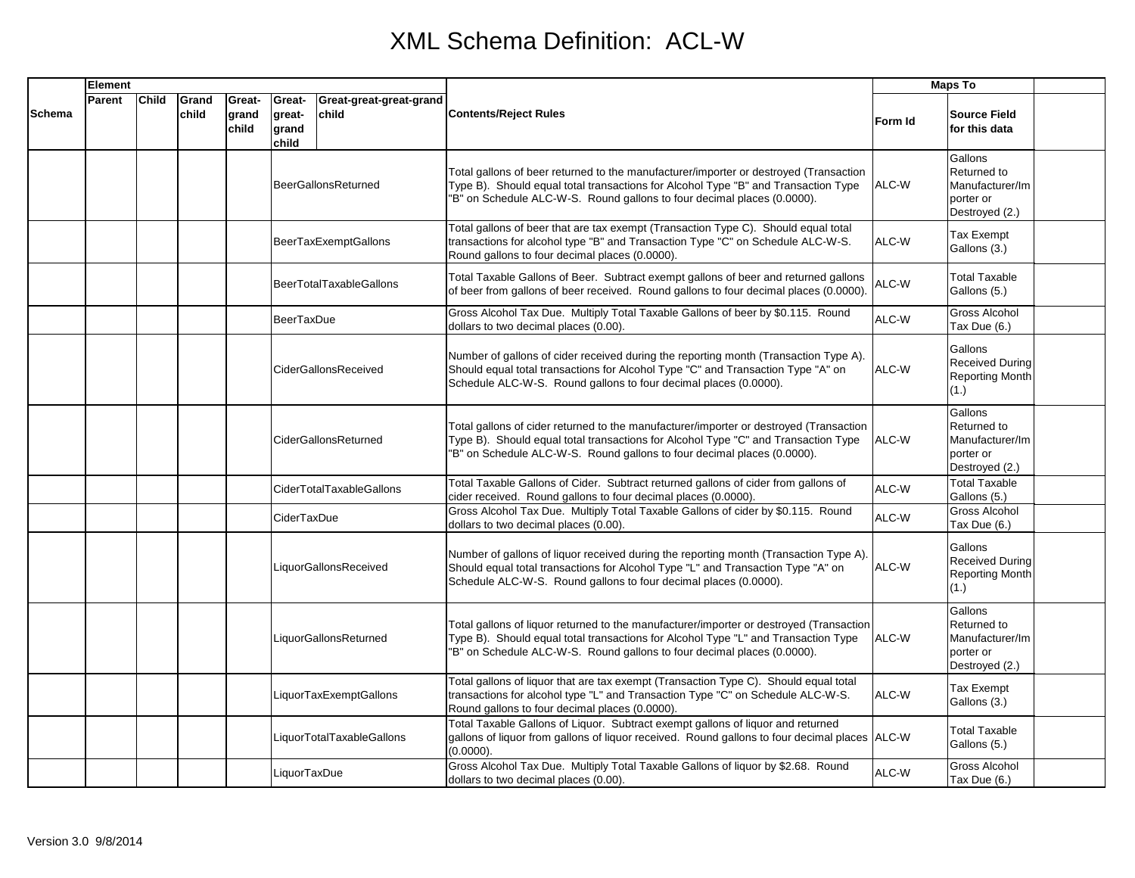|        | <b>Element</b> |              |                |                          |                                    |                                  |                                                                                                                                                                                                                                                          | <b>Maps To</b> |                                                                          |  |
|--------|----------------|--------------|----------------|--------------------------|------------------------------------|----------------------------------|----------------------------------------------------------------------------------------------------------------------------------------------------------------------------------------------------------------------------------------------------------|----------------|--------------------------------------------------------------------------|--|
| Schema | Parent         | <b>Child</b> | Grand<br>child | Great-<br>grand<br>child | Great-<br>great-<br>grand<br>child | Great-great-great-grand<br>child | Contents/Reject Rules                                                                                                                                                                                                                                    | Form Id        | <b>Source Field</b><br>for this data                                     |  |
|        |                |              |                |                          |                                    | <b>BeerGallonsReturned</b>       | Total gallons of beer returned to the manufacturer/importer or destroyed (Transaction<br>Type B). Should equal total transactions for Alcohol Type "B" and Transaction Type<br>"B" on Schedule ALC-W-S. Round gallons to four decimal places (0.0000).   | ALC-W          | Gallons<br>Returned to<br>Manufacturer/Im<br>porter or<br>Destroyed (2.) |  |
|        |                |              |                |                          |                                    | <b>BeerTaxExemptGallons</b>      | Total gallons of beer that are tax exempt (Transaction Type C). Should equal total<br>transactions for alcohol type "B" and Transaction Type "C" on Schedule ALC-W-S.<br>Round gallons to four decimal places (0.0000).                                  | ALC-W          | <b>Tax Exempt</b><br>Gallons (3.)                                        |  |
|        |                |              |                |                          |                                    | <b>BeerTotalTaxableGallons</b>   | Total Taxable Gallons of Beer. Subtract exempt gallons of beer and returned gallons<br>of beer from gallons of beer received. Round gallons to four decimal places (0.0000).                                                                             | ALC-W          | <b>Total Taxable</b><br>Gallons (5.)                                     |  |
|        |                |              |                |                          | <b>BeerTaxDue</b>                  |                                  | Gross Alcohol Tax Due. Multiply Total Taxable Gallons of beer by \$0.115. Round<br>dollars to two decimal places (0.00).                                                                                                                                 | ALC-W          | <b>Gross Alcohol</b><br>Tax Due (6.)                                     |  |
|        |                |              |                |                          |                                    | <b>CiderGallonsReceived</b>      | Number of gallons of cider received during the reporting month (Transaction Type A).<br>Should equal total transactions for Alcohol Type "C" and Transaction Type "A" on<br>Schedule ALC-W-S. Round gallons to four decimal places (0.0000).             | ALC-W          | Gallons<br><b>Received During</b><br><b>Reporting Month</b><br>(1.)      |  |
|        |                |              |                |                          |                                    | CiderGallonsReturned             | Total gallons of cider returned to the manufacturer/importer or destroyed (Transaction<br>Type B). Should equal total transactions for Alcohol Type "C" and Transaction Type<br>"B" on Schedule ALC-W-S. Round gallons to four decimal places (0.0000).  | ALC-W          | Gallons<br>Returned to<br>Manufacturer/Im<br>porter or<br>Destroyed (2.) |  |
|        |                |              |                |                          |                                    | CiderTotalTaxableGallons         | Total Taxable Gallons of Cider. Subtract returned gallons of cider from gallons of<br>cider received. Round gallons to four decimal places (0.0000).                                                                                                     | ALC-W          | <b>Total Taxable</b><br>Gallons (5.)                                     |  |
|        |                |              |                |                          | CiderTaxDue                        |                                  | Gross Alcohol Tax Due. Multiply Total Taxable Gallons of cider by \$0.115. Round<br>dollars to two decimal places (0.00).                                                                                                                                | ALC-W          | <b>Gross Alcohol</b><br>Tax Due (6.)                                     |  |
|        |                |              |                |                          |                                    | LiquorGallonsReceived            | Number of gallons of liquor received during the reporting month (Transaction Type A).<br>Should equal total transactions for Alcohol Type "L" and Transaction Type "A" on<br>Schedule ALC-W-S. Round gallons to four decimal places (0.0000).            | ALC-W          | Gallons<br><b>Received During</b><br><b>Reporting Month</b><br>(1.)      |  |
|        |                |              |                |                          |                                    | LiquorGallonsReturned            | Total gallons of liquor returned to the manufacturer/importer or destroyed (Transaction<br>Type B). Should equal total transactions for Alcohol Type "L" and Transaction Type<br>"B" on Schedule ALC-W-S. Round gallons to four decimal places (0.0000). | ALC-W          | Gallons<br>Returned to<br>Manufacturer/Im<br>porter or<br>Destroyed (2.) |  |
|        |                |              |                |                          |                                    | LiquorTaxExemptGallons           | Total gallons of liquor that are tax exempt (Transaction Type C). Should equal total<br>transactions for alcohol type "L" and Transaction Type "C" on Schedule ALC-W-S.<br>Round gallons to four decimal places (0.0000).                                | ALC-W          | Tax Exempt<br>Gallons (3.)                                               |  |
|        |                |              |                |                          |                                    | LiquorTotalTaxableGallons        | Total Taxable Gallons of Liquor. Subtract exempt gallons of liquor and returned<br>gallons of liquor from gallons of liquor received. Round gallons to four decimal places ALC-W<br>(0.0000).                                                            |                | <b>Total Taxable</b><br>Gallons (5.)                                     |  |
|        |                |              |                |                          | LiquorTaxDue                       |                                  | Gross Alcohol Tax Due. Multiply Total Taxable Gallons of liquor by \$2.68. Round<br>dollars to two decimal places (0.00).                                                                                                                                | ALC-W          | <b>Gross Alcohol</b><br>Tax Due (6.)                                     |  |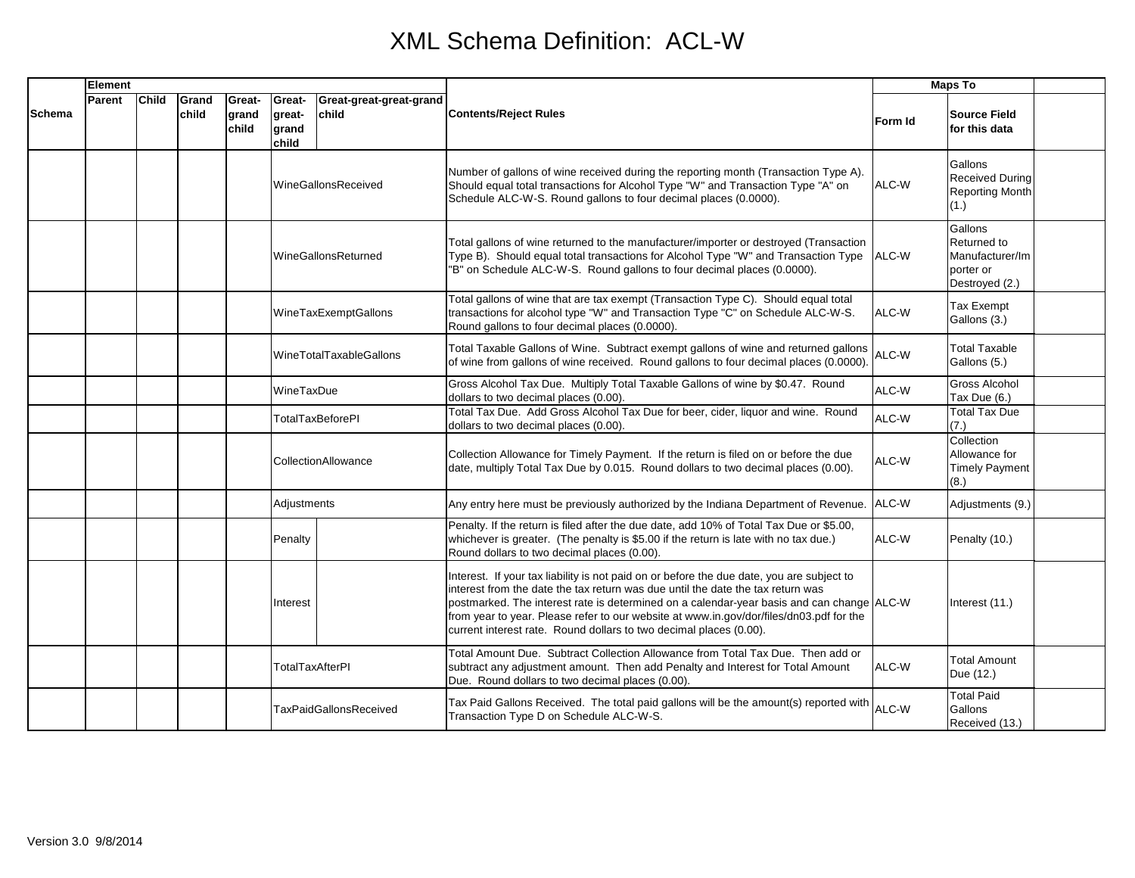|               | Element |              |                |                          |                                    |                                  |                                                                                                                                                                                                                                                                                                                                                                                                                                            | <b>Maps To</b> |                                                                          |  |
|---------------|---------|--------------|----------------|--------------------------|------------------------------------|----------------------------------|--------------------------------------------------------------------------------------------------------------------------------------------------------------------------------------------------------------------------------------------------------------------------------------------------------------------------------------------------------------------------------------------------------------------------------------------|----------------|--------------------------------------------------------------------------|--|
| <b>Schema</b> | Parent  | <b>Child</b> | Grand<br>child | Great-<br>grand<br>child | Great-<br>great-<br>grand<br>child | Great-great-great-grand<br>child | <b>Contents/Reject Rules</b>                                                                                                                                                                                                                                                                                                                                                                                                               | <b>Form</b> Id | <b>Source Field</b><br>for this data                                     |  |
|               |         |              |                |                          |                                    | WineGallonsReceived              | Number of gallons of wine received during the reporting month (Transaction Type A).<br>Should equal total transactions for Alcohol Type "W" and Transaction Type "A" on<br>Schedule ALC-W-S. Round gallons to four decimal places (0.0000).                                                                                                                                                                                                | ALC-W          | Gallons<br><b>Received During</b><br><b>Reporting Month</b><br>(1.)      |  |
|               |         |              |                |                          |                                    | <b>WineGallonsReturned</b>       | Total gallons of wine returned to the manufacturer/importer or destroyed (Transaction<br>Type B). Should equal total transactions for Alcohol Type "W" and Transaction Type<br>"B" on Schedule ALC-W-S. Round gallons to four decimal places (0.0000).                                                                                                                                                                                     | ALC-W          | Gallons<br>Returned to<br>Manufacturer/Im<br>porter or<br>Destroyed (2.) |  |
|               |         |              |                |                          |                                    | WineTaxExemptGallons             | Total gallons of wine that are tax exempt (Transaction Type C). Should equal total<br>transactions for alcohol type "W" and Transaction Type "C" on Schedule ALC-W-S.<br>Round gallons to four decimal places (0.0000).                                                                                                                                                                                                                    | ALC-W          | Tax Exempt<br>Gallons (3.)                                               |  |
|               |         |              |                |                          |                                    | WineTotalTaxableGallons          | Total Taxable Gallons of Wine. Subtract exempt gallons of wine and returned gallons<br>of wine from gallons of wine received. Round gallons to four decimal places (0.0000).                                                                                                                                                                                                                                                               | ALC-W          | <b>Total Taxable</b><br>Gallons (5.)                                     |  |
|               |         |              |                |                          | WineTaxDue                         |                                  | Gross Alcohol Tax Due. Multiply Total Taxable Gallons of wine by \$0.47. Round<br>dollars to two decimal places (0.00).                                                                                                                                                                                                                                                                                                                    | ALC-W          | Gross Alcohol<br>Tax Due (6.)                                            |  |
|               |         |              |                |                          |                                    | TotalTaxBeforePI                 | Total Tax Due. Add Gross Alcohol Tax Due for beer, cider, liquor and wine. Round<br>dollars to two decimal places (0.00).                                                                                                                                                                                                                                                                                                                  | ALC-W          | Total Tax Due<br>(7.)                                                    |  |
|               |         |              |                |                          |                                    | CollectionAllowance              | Collection Allowance for Timely Payment. If the return is filed on or before the due<br>date, multiply Total Tax Due by 0.015. Round dollars to two decimal places (0.00).                                                                                                                                                                                                                                                                 | ALC-W          | Collection<br>Allowance for<br><b>Timely Payment</b><br>(8.)             |  |
|               |         |              |                |                          | Adjustments                        |                                  | Any entry here must be previously authorized by the Indiana Department of Revenue.                                                                                                                                                                                                                                                                                                                                                         | ALC-W          | Adjustments (9.)                                                         |  |
|               |         |              |                |                          | Penalty                            |                                  | Penalty. If the return is filed after the due date, add 10% of Total Tax Due or \$5.00,<br>whichever is greater. (The penalty is \$5.00 if the return is late with no tax due.)<br>Round dollars to two decimal places (0.00).                                                                                                                                                                                                             | ALC-W          | Penalty (10.)                                                            |  |
|               |         |              |                |                          | Interest                           |                                  | Interest. If your tax liability is not paid on or before the due date, you are subject to<br>interest from the date the tax return was due until the date the tax return was<br>postmarked. The interest rate is determined on a calendar-year basis and can change ALC-W<br>from year to year. Please refer to our website at www.in.gov/dor/files/dn03.pdf for the<br>current interest rate. Round dollars to two decimal places (0.00). |                | Interest (11.)                                                           |  |
|               |         |              |                |                          | <b>TotalTaxAfterPI</b>             |                                  | Total Amount Due. Subtract Collection Allowance from Total Tax Due. Then add or<br>subtract any adjustment amount. Then add Penalty and Interest for Total Amount<br>Due. Round dollars to two decimal places (0.00).                                                                                                                                                                                                                      | ALC-W          | <b>Total Amount</b><br>Due (12.)                                         |  |
|               |         |              |                |                          |                                    | <b>TaxPaidGallonsReceived</b>    | Tax Paid Gallons Received. The total paid gallons will be the amount(s) reported with<br>Transaction Type D on Schedule ALC-W-S.                                                                                                                                                                                                                                                                                                           | ALC-W          | <b>Total Paid</b><br>Gallons<br>Received (13.)                           |  |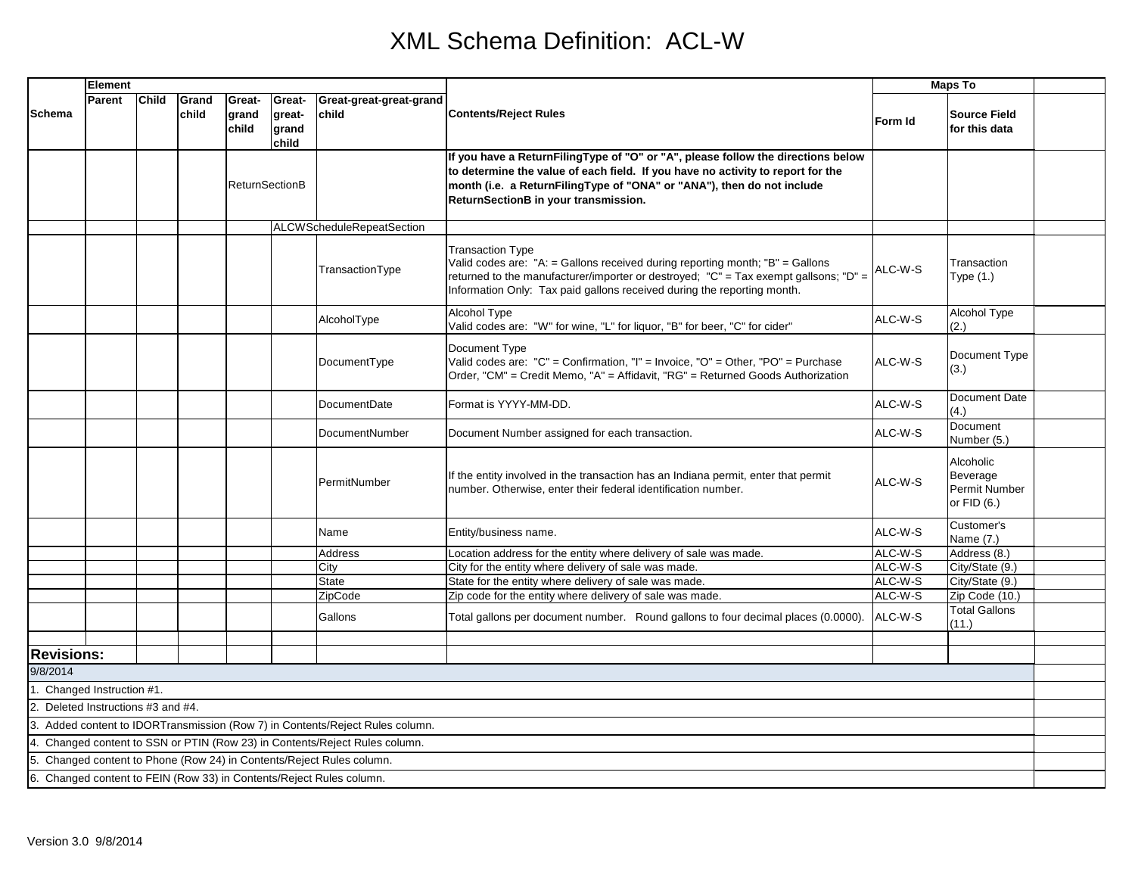|                                                                      | <b>Element</b> |              |                |                          |                                    |                                                                             |                                                                                                                                                                                                                                                                                       | <b>Maps To</b>     |                                                              |  |
|----------------------------------------------------------------------|----------------|--------------|----------------|--------------------------|------------------------------------|-----------------------------------------------------------------------------|---------------------------------------------------------------------------------------------------------------------------------------------------------------------------------------------------------------------------------------------------------------------------------------|--------------------|--------------------------------------------------------------|--|
| <b>Schema</b>                                                        | Parent         | <b>Child</b> | Grand<br>child | Great-<br>grand<br>child | Great-<br>great-<br>grand<br>child | Great-great-great-grand<br>child                                            | <b>Contents/Reject Rules</b>                                                                                                                                                                                                                                                          | Form Id            | <b>Source Field</b><br>for this data                         |  |
|                                                                      |                |              |                |                          | <b>ReturnSectionB</b>              |                                                                             | If you have a ReturnFilingType of "O" or "A", please follow the directions below<br>to determine the value of each field. If you have no activity to report for the<br>month (i.e. a ReturnFilingType of "ONA" or "ANA"), then do not include<br>ReturnSectionB in your transmission. |                    |                                                              |  |
|                                                                      |                |              |                |                          |                                    | <b>ALCWScheduleRepeatSection</b>                                            |                                                                                                                                                                                                                                                                                       |                    |                                                              |  |
|                                                                      |                |              |                |                          |                                    | TransactionType                                                             | <b>Transaction Type</b><br>Valid codes are: "A: = Gallons received during reporting month; "B" = Gallons<br>returned to the manufacturer/importer or destroyed; "C" = Tax exempt gallsons; "D" =<br>Information Only: Tax paid gallons received during the reporting month.           | ALC-W-S            | Transaction<br>Type (1.)                                     |  |
|                                                                      |                |              |                |                          |                                    | AlcoholType                                                                 | Alcohol Type<br>Valid codes are: "W" for wine, "L" for liquor, "B" for beer, "C" for cider"                                                                                                                                                                                           | ALC-W-S            | Alcohol Type<br>(2.)                                         |  |
|                                                                      |                |              |                |                          |                                    | DocumentType                                                                | Document Type<br>Valid codes are: "C" = Confirmation, "I" = Invoice, "O" = Other, "PO" = Purchase<br>Order, "CM" = Credit Memo, "A" = Affidavit, "RG" = Returned Goods Authorization                                                                                                  | ALC-W-S            | Document Type<br>(3.)                                        |  |
|                                                                      |                |              |                |                          |                                    | <b>DocumentDate</b>                                                         | Format is YYYY-MM-DD.                                                                                                                                                                                                                                                                 | ALC-W-S            | Document Date<br>(4.)                                        |  |
|                                                                      |                |              |                |                          |                                    | DocumentNumber                                                              | Document Number assigned for each transaction.                                                                                                                                                                                                                                        | ALC-W-S            | Document<br>Number (5.)                                      |  |
|                                                                      |                |              |                |                          |                                    | PermitNumber                                                                | If the entity involved in the transaction has an Indiana permit, enter that permit<br>number. Otherwise, enter their federal identification number.                                                                                                                                   | ALC-W-S            | Alcoholic<br>Beverage<br><b>Permit Number</b><br>or FID (6.) |  |
|                                                                      |                |              |                |                          |                                    | Name                                                                        | Entity/business name.                                                                                                                                                                                                                                                                 | ALC-W-S            | Customer's<br>Name (7.)                                      |  |
|                                                                      |                |              |                |                          |                                    | <b>Address</b>                                                              | Location address for the entity where delivery of sale was made.                                                                                                                                                                                                                      | ALC-W-S            | Address (8.)                                                 |  |
|                                                                      |                |              |                |                          |                                    | City                                                                        | City for the entity where delivery of sale was made.                                                                                                                                                                                                                                  | ALC-W-S            | City/State (9.)                                              |  |
|                                                                      |                |              |                |                          |                                    | <b>State</b>                                                                | State for the entity where delivery of sale was made.                                                                                                                                                                                                                                 | ALC-W-S            | City/State (9.)                                              |  |
|                                                                      |                |              |                |                          |                                    | ZipCode<br>Gallons                                                          | Zip code for the entity where delivery of sale was made.<br>Total gallons per document number. Round gallons to four decimal places (0.0000).                                                                                                                                         | ALC-W-S<br>ALC-W-S | Zip Code (10.)<br><b>Total Gallons</b><br>(11.)              |  |
|                                                                      |                |              |                |                          |                                    |                                                                             |                                                                                                                                                                                                                                                                                       |                    |                                                              |  |
| <b>Revisions:</b>                                                    |                |              |                |                          |                                    |                                                                             |                                                                                                                                                                                                                                                                                       |                    |                                                              |  |
| 9/8/2014                                                             |                |              |                |                          |                                    |                                                                             |                                                                                                                                                                                                                                                                                       |                    |                                                              |  |
| 1. Changed Instruction #1.                                           |                |              |                |                          |                                    |                                                                             |                                                                                                                                                                                                                                                                                       |                    |                                                              |  |
| 2. Deleted Instructions #3 and #4.                                   |                |              |                |                          |                                    |                                                                             |                                                                                                                                                                                                                                                                                       |                    |                                                              |  |
|                                                                      |                |              |                |                          |                                    | Added content to IDORTransmission (Row 7) in Contents/Reject Rules column.  |                                                                                                                                                                                                                                                                                       |                    |                                                              |  |
|                                                                      |                |              |                |                          |                                    | 4. Changed content to SSN or PTIN (Row 23) in Contents/Reject Rules column. |                                                                                                                                                                                                                                                                                       |                    |                                                              |  |
|                                                                      |                |              |                |                          |                                    | Changed content to Phone (Row 24) in Contents/Reject Rules column.          |                                                                                                                                                                                                                                                                                       |                    |                                                              |  |
| 6. Changed content to FEIN (Row 33) in Contents/Reject Rules column. |                |              |                |                          |                                    |                                                                             |                                                                                                                                                                                                                                                                                       |                    |                                                              |  |